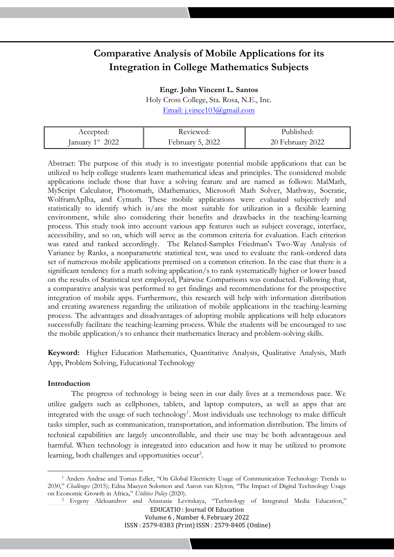# **Comparative Analysis of Mobile Applications for its Integration in College Mathematics Subjects**

z zzzzzz

**Engr. John Vincent L. Santos**

Holy Cross College, Sta. Rosa, N.E., Inc. [Email:](mailto:riyu.choirul57@gmail.com) j.vince103@gmail.com

| Accepted:                 | Keviewed:        | Published:       |
|---------------------------|------------------|------------------|
| January $1^{\rm st}$ 2022 | February 5, 2022 | 20 February 2022 |

Abstract: The purpose of this study is to investigate potential mobile applications that can be utilized to help college students learn mathematical ideas and principles. The considered mobile applications include those that have a solving feature and are named as follows: MalMath, MyScript Calculator, Photomath, iMathematics, Microsoft Math Solver, Mathway, Socratic, WolframAplha, and Cymath. These mobile applications were evaluated subjectively and statistically to identify which is/are the most suitable for utilization in a flexible learning environment, while also considering their benefits and drawbacks in the teaching-learning process. This study took into account various app features such as subject coverage, interface, accessibility, and so on, which will serve as the common criteria for evaluation. Each criterion was rated and ranked accordingly. The Related-Samples Friedman's Two-Way Analysis of Variance by Ranks, a nonparametric statistical test, was used to evaluate the rank-ordered data set of numerous mobile applications premised on a common criterion. In the case that there is a significant tendency for a math solving application/s to rank systematically higher or lower based on the results of Statistical test employed, Pairwise Comparisons was conducted. Following that, a comparative analysis was performed to get findings and recommendations for the prospective integration of mobile apps. Furthermore, this research will help with information distribution and creating awareness regarding the utilization of mobile applications in the teaching-learning process. The advantages and disadvantages of adopting mobile applications will help educators successfully facilitate the teaching-learning process. While the students will be encouraged to use the mobile application/s to enhance their mathematics literacy and problem-solving skills.

**Keyword:** Higher Education Mathematics, Quantitative Analysis, Qualitative Analysis, Math App, Problem Solving, Educational Technology

# **Introduction**

The progress of technology is being seen in our daily lives at a tremendous pace. We utilize gadgets such as cellphones, tablets, and laptop computers, as well as apps that are integrated with the usage of such technology<sup>1</sup>. Most individuals use technology to make difficult tasks simpler, such as communication, transportation, and information distribution. The limits of technical capabilities are largely uncontrollable, and their use may be both advantageous and harmful. When technology is integrated into education and how it may be utilized to promote learning, both challenges and opportunities occur<sup>2</sup>.

<sup>1</sup> Anders Andrae and Tomas Edler, "On Global Electricity Usage of Communication Technology: Trends to 2030," *Challenges* (2015); Edna Maeyen Solomon and Aaron van Klyton, "The Impact of Digital Technology Usage on Economic Growth in Africa," *Utilities Policy* (2020).

<sup>2</sup> Evgeny Aleksandrov and Anastasia Levitskaya, "Technology of Integrated Media Education,"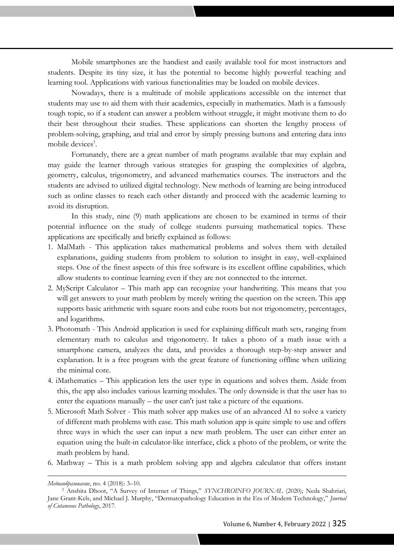Mobile smartphones are the handiest and easily available tool for most instructors and students. Despite its tiny size, it has the potential to become highly powerful teaching and learning tool. Applications with various functionalities may be loaded on mobile devices.

zzzzzz

Nowadays, there is a multitude of mobile applications accessible on the internet that students may use to aid them with their academics, especially in mathematics. Math is a famously tough topic, so if a student can answer a problem without struggle, it might motivate them to do their best throughout their studies. These applications can shorten the lengthy process of problem-solving, graphing, and trial and error by simply pressing buttons and entering data into mobile devices<sup>3</sup>.

Fortunately, there are a great number of math programs available that may explain and may guide the learner through various strategies for grasping the complexities of algebra, geometry, calculus, trigonometry, and advanced mathematics courses. The instructors and the students are advised to utilized digital technology. New methods of learning are being introduced such as online classes to reach each other distantly and proceed with the academic learning to avoid its disruption.

In this study, nine (9) math applications are chosen to be examined in terms of their potential influence on the study of college students pursuing mathematical topics. These applications are specifically and briefly explained as follows:

- 1. MalMath This application takes mathematical problems and solves them with detailed explanations, guiding students from problem to solution to insight in easy, well-explained steps. One of the finest aspects of this free software is its excellent offline capabilities, which allow students to continue learning even if they are not connected to the internet.
- 2. MyScript Calculator This math app can recognize your handwriting. This means that you will get answers to your math problem by merely writing the question on the screen. This app supports basic arithmetic with square roots and cube roots but not trigonometry, percentages, and logarithms.
- 3. Photomath This Android application is used for explaining difficult math sets, ranging from elementary math to calculus and trigonometry. It takes a photo of a math issue with a smartphone camera, analyzes the data, and provides a thorough step-by-step answer and explanation. It is a free program with the great feature of functioning offline when utilizing the minimal core.
- 4. iMathematics This application lets the user type in equations and solves them. Aside from this, the app also includes various learning modules. The only downside is that the user has to enter the equations manually – the user can't just take a picture of the equations.
- 5. Microsoft Math Solver This math solver app makes use of an advanced AI to solve a variety of different math problems with ease. This math solution app is quite simple to use and offers three ways in which the user can input a new math problem. The user can either enter an equation using the built-in calculator-like interface, click a photo of the problem, or write the math problem by hand.
- 6. Mathway This is a math problem solving app and algebra calculator that offers instant

*Медиаобразование*, no. 4 (2018): 3–10.

<sup>3</sup> Anshita Dhoot, "A Survey of Internet of Things," *SYNCHROINFO JOURNAL* (2020); Neda Shahriari, Jane Grant-Kels, and Michael J. Murphy, "Dermatopathology Education in the Era of Modern Technology," *Journal of Cutaneous Pathology*, 2017.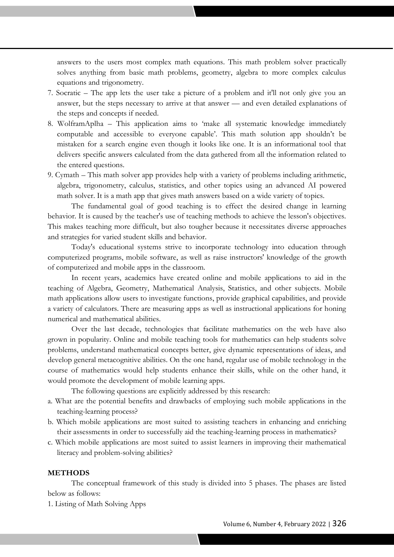answers to the users most complex math equations. This math problem solver practically solves anything from basic math problems, geometry, algebra to more complex calculus equations and trigonometry.

zzzzzz

- 7. Socratic The app lets the user take a picture of a problem and it'll not only give you an answer, but the steps necessary to arrive at that answer — and even detailed explanations of the steps and concepts if needed.
- 8. WolframAplha This application aims to 'make all systematic knowledge immediately computable and accessible to everyone capable'. This math solution app shouldn't be mistaken for a search engine even though it looks like one. It is an informational tool that delivers specific answers calculated from the data gathered from all the information related to the entered questions.
- 9. Cymath This math solver app provides help with a variety of problems including arithmetic, algebra, trigonometry, calculus, statistics, and other topics using an advanced AI powered math solver. It is a math app that gives math answers based on a wide variety of topics.

The fundamental goal of good teaching is to effect the desired change in learning behavior. It is caused by the teacher's use of teaching methods to achieve the lesson's objectives. This makes teaching more difficult, but also tougher because it necessitates diverse approaches and strategies for varied student skills and behavior.

Today's educational systems strive to incorporate technology into education through computerized programs, mobile software, as well as raise instructors' knowledge of the growth of computerized and mobile apps in the classroom.

In recent years, academics have created online and mobile applications to aid in the teaching of Algebra, Geometry, Mathematical Analysis, Statistics, and other subjects. Mobile math applications allow users to investigate functions, provide graphical capabilities, and provide a variety of calculators. There are measuring apps as well as instructional applications for honing numerical and mathematical abilities.

Over the last decade, technologies that facilitate mathematics on the web have also grown in popularity. Online and mobile teaching tools for mathematics can help students solve problems, understand mathematical concepts better, give dynamic representations of ideas, and develop general metacognitive abilities. On the one hand, regular use of mobile technology in the course of mathematics would help students enhance their skills, while on the other hand, it would promote the development of mobile learning apps.

The following questions are explicitly addressed by this research:

- a. What are the potential benefits and drawbacks of employing such mobile applications in the teaching-learning process?
- b. Which mobile applications are most suited to assisting teachers in enhancing and enriching their assessments in order to successfully aid the teaching-learning process in mathematics?
- c. Which mobile applications are most suited to assist learners in improving their mathematical literacy and problem-solving abilities?

# **METHODS**

The conceptual framework of this study is divided into 5 phases. The phases are listed below as follows:

1. Listing of Math Solving Apps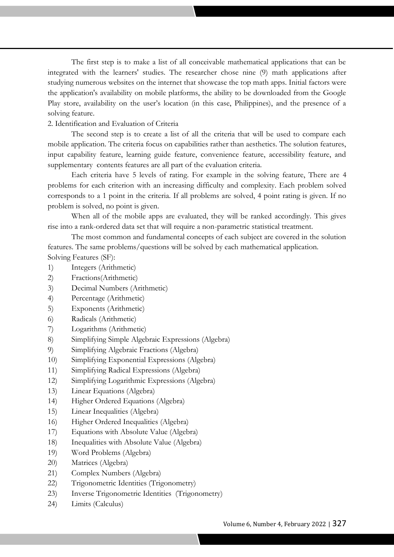The first step is to make a list of all conceivable mathematical applications that can be integrated with the learners' studies. The researcher chose nine (9) math applications after studying numerous websites on the internet that showcase the top math apps. Initial factors were the application's availability on mobile platforms, the ability to be downloaded from the Google Play store, availability on the user's location (in this case, Philippines), and the presence of a solving feature.

# 2. Identification and Evaluation of Criteria

The second step is to create a list of all the criteria that will be used to compare each mobile application. The criteria focus on capabilities rather than aesthetics. The solution features, input capability feature, learning guide feature, convenience feature, accessibility feature, and supplementary contents features are all part of the evaluation criteria.

Each criteria have 5 levels of rating. For example in the solving feature, There are 4 problems for each criterion with an increasing difficulty and complexity. Each problem solved corresponds to a 1 point in the criteria. If all problems are solved, 4 point rating is given. If no problem is solved, no point is given.

When all of the mobile apps are evaluated, they will be ranked accordingly. This gives rise into a rank-ordered data set that will require a non-parametric statistical treatment.

The most common and fundamental concepts of each subject are covered in the solution features. The same problems/questions will be solved by each mathematical application. Solving Features (SF):

- 1) Integers (Arithmetic)
- 2) Fractions(Arithmetic)
- 3) Decimal Numbers (Arithmetic)
- 4) Percentage (Arithmetic)
- 5) Exponents (Arithmetic)
- 6) Radicals (Arithmetic)
- 7) Logarithms (Arithmetic)
- 8) Simplifying Simple Algebraic Expressions (Algebra)
- 9) Simplifying Algebraic Fractions (Algebra)
- 10) Simplifying Exponential Expressions (Algebra)
- 11) Simplifying Radical Expressions (Algebra)
- 12) Simplifying Logarithmic Expressions (Algebra)
- 13) Linear Equations (Algebra)
- 14) Higher Ordered Equations (Algebra)
- 15) Linear Inequalities (Algebra)
- 16) Higher Ordered Inequalities (Algebra)
- 17) Equations with Absolute Value (Algebra)
- 18) Inequalities with Absolute Value (Algebra)
- 19) Word Problems (Algebra)
- 20) Matrices (Algebra)
- 21) Complex Numbers (Algebra)
- 22) Trigonometric Identities (Trigonometry)
- 23) Inverse Trigonometric Identities (Trigonometry)
- 24) Limits (Calculus)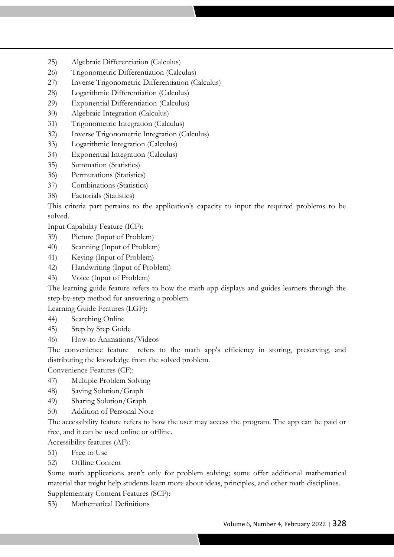- 25) Algebraic Differentiation (Calculus)
- 26) Trigonometric Differentiation (Calculus)
- 27) Inverse Trigonometric Differentiation (Calculus)
- 28) Logarithmic Differentiation (Calculus)
- 29) Exponential Differentiation (Calculus)
- 30) Algebraic Integration (Calculus)
- 31) Trigonometric Integration (Calculus)
- 32) Inverse Trigonometric Integration (Calculus)
- 33) Logarithmic Integration (Calculus)
- 34) Exponential Integration (Calculus)
- 35) Summation (Statistics)
- 36) Permutations (Statistics)
- 37) Combinations (Statistics)
- 38) Factorials (Statistics)

This criteria part pertains to the application's capacity to input the required problems to be solved.

Input Capability Feature (ICF):

- 39) Picture (Input of Problem)
- 40) Scanning (Input of Problem)
- 41) Keying (Input of Problem)
- 42) Handwriting (Input of Problem)
- 43) Voice (Input of Problem)

The learning guide feature refers to how the math app displays and guides learners through the step-by-step method for answering a problem.

Learning Guide Features (LGF):

- 44) Searching Online
- 45) Step by Step Guide
- 46) How-to Animations/Videos

The convenience feature refers to the math app's efficiency in storing, preserving, and distributing the knowledge from the solved problem.

Convenience Features (CF):

- 47) Multiple Problem Solving
- 48) Saving Solution/Graph
- 49) Sharing Solution/Graph
- 50) Addition of Personal Note

The accessibility feature refers to how the user may access the program. The app can be paid or free, and it can be used online or offline.

Accessibility features (AF):

- 51) Free to Use
- 52) Offline Content

Some math applications aren't only for problem solving; some offer additional mathematical material that might help students learn more about ideas, principles, and other math disciplines. Supplementary Content Features (SCF):

53) Mathematical Definitions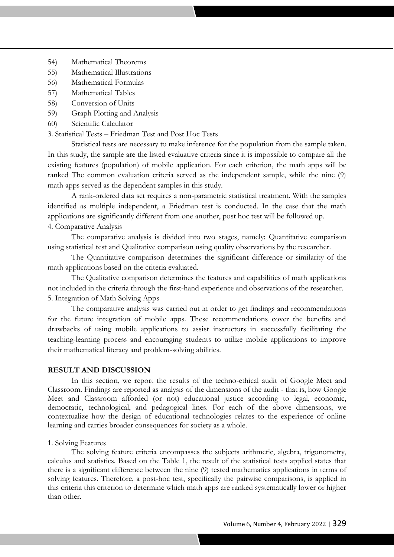- 54) Mathematical Theorems
- 55) Mathematical Illustrations
- 56) Mathematical Formulas
- 57) Mathematical Tables
- 58) Conversion of Units
- 59) Graph Plotting and Analysis
- 60) Scientific Calculator
- 3. Statistical Tests Friedman Test and Post Hoc Tests

Statistical tests are necessary to make inference for the population from the sample taken. In this study, the sample are the listed evaluative criteria since it is impossible to compare all the existing features (population) of mobile application. For each criterion, the math apps will be ranked The common evaluation criteria served as the independent sample, while the nine (9) math apps served as the dependent samples in this study.

A rank-ordered data set requires a non-parametric statistical treatment. With the samples identified as multiple independent, a Friedman test is conducted. In the case that the math applications are significantly different from one another, post hoc test will be followed up. 4. Comparative Analysis

The comparative analysis is divided into two stages, namely: Quantitative comparison using statistical test and Qualitative comparison using quality observations by the researcher.

The Quantitative comparison determines the significant difference or similarity of the math applications based on the criteria evaluated.

The Qualitative comparison determines the features and capabilities of math applications not included in the criteria through the first-hand experience and observations of the researcher. 5. Integration of Math Solving Apps

The comparative analysis was carried out in order to get findings and recommendations for the future integration of mobile apps. These recommendations cover the benefits and drawbacks of using mobile applications to assist instructors in successfully facilitating the teaching-learning process and encouraging students to utilize mobile applications to improve their mathematical literacy and problem-solving abilities.

# **RESULT AND DISCUSSION**

In this section, we report the results of the techno-ethical audit of Google Meet and Classroom. Findings are reported as analysis of the dimensions of the audit - that is, how Google Meet and Classroom afforded (or not) educational justice according to legal, economic, democratic, technological, and pedagogical lines. For each of the above dimensions, we contextualize how the design of educational technologies relates to the experience of online learning and carries broader consequences for society as a whole.

#### 1. Solving Features

The solving feature criteria encompasses the subjects arithmetic, algebra, trigonometry, calculus and statistics. Based on the Table 1, the result of the statistical tests applied states that there is a significant difference between the nine (9) tested mathematics applications in terms of solving features. Therefore, a post-hoc test, specifically the pairwise comparisons, is applied in this criteria this criterion to determine which math apps are ranked systematically lower or higher than other.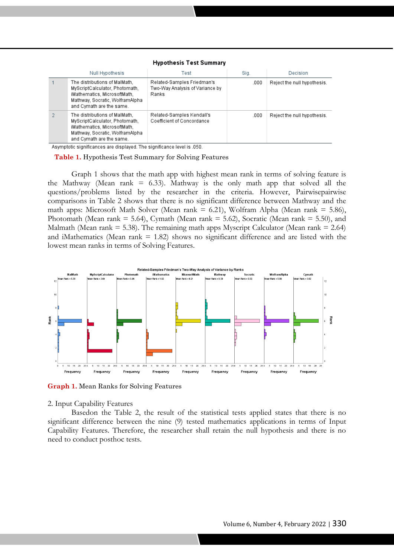| Null Hypothesis                                                                                                                                                | Test                                                                   | Siq. | Decision                    |
|----------------------------------------------------------------------------------------------------------------------------------------------------------------|------------------------------------------------------------------------|------|-----------------------------|
| The distributions of MalMath,<br>MyScriptCalculator, Photomath,<br>iMathematics, MicrosoftMath,<br>Mathway, Socratic, WolframAlpha<br>and Cymath are the same. | Related-Samples Friedman's<br>Two-Way Analysis of Variance by<br>Ranks | .000 | Reject the null hypothesis. |
| The distributions of MalMath.<br>MyScriptCalculator, Photomath,<br>iMathematics, MicrosoftMath,<br>Mathway, Socratic, WolframAlpha<br>and Cymath are the same. | Related-Samples Kendall's<br>Coefficient of Concordance                | .000 | Reject the null hypothesis. |

# **Hypothesis Test Summary**

Asymptotic significances are displayed. The significance level is .050.

**Table 1.** Hypothesis Test Summary for Solving Features

Graph 1 shows that the math app with highest mean rank in terms of solving feature is the Mathway (Mean rank  $= 6.33$ ). Mathway is the only math app that solved all the questions/problems listed by the researcher in the criteria. However, Pairwisepairwise comparisons in Table 2 shows that there is no significant difference between Mathway and the math apps: Microsoft Math Solver (Mean rank  $= 6.21$ ), Wolfram Alpha (Mean rank  $= 5.86$ ), Photomath (Mean rank = 5.64), Cymath (Mean rank = 5.62), Socratic (Mean rank = 5.50), and Malmath (Mean rank  $= 5.38$ ). The remaining math apps Myscript Calculator (Mean rank  $= 2.64$ ) and iMathematics (Mean rank  $= 1.82$ ) shows no significant difference and are listed with the lowest mean ranks in terms of Solving Features.



**Graph 1.** Mean Ranks for Solving Features

2. Input Capability Features

Basedon the Table 2, the result of the statistical tests applied states that there is no significant difference between the nine (9) tested mathematics applications in terms of Input Capability Features. Therefore, the researcher shall retain the null hypothesis and there is no need to conduct posthoc tests.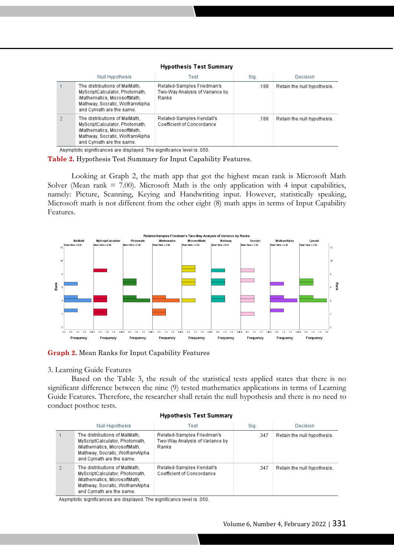## **Hypothesis Test Summary**

zzzzzz

| Null Hypothesis |                                                                                                                                                                | Test                                                                   | Sig. | Decision                    |  |
|-----------------|----------------------------------------------------------------------------------------------------------------------------------------------------------------|------------------------------------------------------------------------|------|-----------------------------|--|
|                 | The distributions of MalMath,<br>MyScriptCalculator, Photomath,<br>iMathematics, MicrosoftMath,<br>Mathway, Socratic, WolframAlpha<br>and Cymath are the same. | Related-Samples Friedman's<br>Two-Way Analysis of Variance by<br>Ranks | .188 | Retain the null hypothesis. |  |
|                 | The distributions of MalMath.<br>MyScriptCalculator, Photomath,<br>iMathematics, MicrosoftMath,<br>Mathway, Socratic, WolframAlpha<br>and Cymath are the same. | Related-Samples Kendall's<br>Coefficient of Concordance                | .188 | Retain the null hypothesis. |  |

Asymptotic significances are displayed. The significance level is .050.

**Table 2.** Hypothesis Test Summary for Input Capability Features.

Looking at Graph 2, the math app that got the highest mean rank is Microsoft Math Solver (Mean rank  $= 7.00$ ). Microsoft Math is the only application with 4 input capabilities, namely: Picture, Scanning, Keying and Handwriting input. However, statistically speaking, Microsoft math is not different from the other eight (8) math apps in terms of Input Capability Features.



**Graph 2.** Mean Ranks for Input Capability Features

### 3. Learning Guide Features

Based on the Table 3, the result of the statistical tests applied states that there is no significant difference between the nine (9) tested mathematics applications in terms of Learning Guide Features. Therefore, the researcher shall retain the null hypothesis and there is no need to conduct posthoc tests.

#### **Hypothesis Test Summary**

| Null Hypothesis                                                                                                                                                | Test                                                                   | Sig. | Decision                    |
|----------------------------------------------------------------------------------------------------------------------------------------------------------------|------------------------------------------------------------------------|------|-----------------------------|
| The distributions of MalMath,<br>MyScriptCalculator, Photomath,<br>iMathematics, MicrosoftMath,<br>Mathway, Socratic, WolframAlpha<br>and Cymath are the same. | Related-Samples Friedman's<br>Two-Way Analysis of Variance by<br>Ranks | .347 | Retain the null hypothesis. |
| The distributions of MalMath.<br>MyScriptCalculator, Photomath,<br>iMathematics, MicrosoftMath,<br>Mathway, Socratic, WolframAlpha<br>and Cymath are the same. | Related-Samples Kendall's<br>Coefficient of Concordance                | .347 | Retain the null hypothesis. |

Asymptotic significances are displayed. The significance level is .050.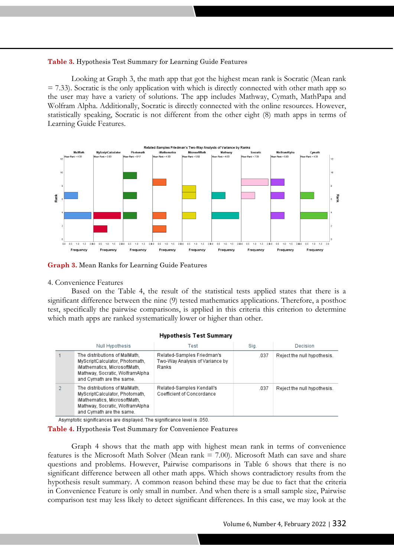# **Table 3.** Hypothesis Test Summary for Learning Guide Features

Looking at Graph 3, the math app that got the highest mean rank is Socratic (Mean rank  $= 7.33$ ). Socratic is the only application with which is directly connected with other math app so the user may have a variety of solutions. The app includes Mathway, Cymath, MathPapa and Wolfram Alpha. Additionally, Socratic is directly connected with the online resources. However, statistically speaking, Socratic is not different from the other eight (8) math apps in terms of Learning Guide Features.



**Graph 3.** Mean Ranks for Learning Guide Features

## 4. Convenience Features

Based on the Table 4, the result of the statistical tests applied states that there is a significant difference between the nine (9) tested mathematics applications. Therefore, a posthoc test, specifically the pairwise comparisons, is applied in this criteria this criterion to determine which math apps are ranked systematically lower or higher than other.

#### **Hypothesis Test Summary**

| Null Hypothesis                                                                                                                                                | Test                                                                   | Sig. | Decision                    |
|----------------------------------------------------------------------------------------------------------------------------------------------------------------|------------------------------------------------------------------------|------|-----------------------------|
| The distributions of MalMath.<br>MyScriptCalculator, Photomath,<br>iMathematics, MicrosoftMath,<br>Mathway, Socratic, WolframAlpha<br>and Cymath are the same. | Related-Samples Friedman's<br>Two-Way Analysis of Variance by<br>Ranks | .037 | Reject the null hypothesis. |
| The distributions of MalMath.<br>MyScriptCalculator, Photomath.<br>iMathematics, MicrosoftMath,<br>Mathway, Socratic, WolframAlpha<br>and Cymath are the same. | Related-Samples Kendall's<br>Coefficient of Concordance                | .037 | Reject the null hypothesis. |

Asymptotic significances are displayed. The significance level is .050.

**Table 4.** Hypothesis Test Summary for Convenience Features

Graph 4 shows that the math app with highest mean rank in terms of convenience features is the Microsoft Math Solver (Mean rank = 7.00). Microsoft Math can save and share questions and problems. However, Pairwise comparisons in Table 6 shows that there is no significant difference between all other math apps. Which shows contradictory results from the hypothesis result summary. A common reason behind these may be due to fact that the criteria in Convenience Feature is only small in number. And when there is a small sample size, Pairwise comparison test may less likely to detect significant differences. In this case, we may look at the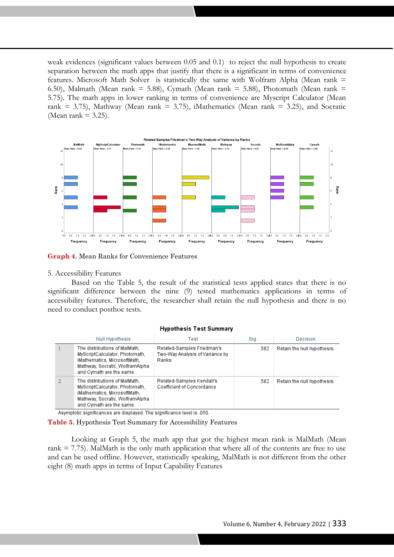weak evidences (significant values between 0.05 and 0.1) to reject the null hypothesis to create separation between the math apps that justify that there is a significant in terms of convenience features. Microsoft Math Solver is statistically the same with Wolfram Alpha (Mean rank = 6.50), Malmath (Mean rank = 5.88), Cymath (Mean rank = 5.88), Photomath (Mean rank = 5.75). The math apps in lower ranking in terms of convenience are Myscript Calculator (Mean rank = 3.75), Mathway (Mean rank = 3.75), iMathematics (Mean rank = 3.25), and Socratic (Mean rank  $= 3.25$ ).



**Graph 4.** Mean Ranks for Convenience Features

### 5. Accessibility Features

Based on the Table 5, the result of the statistical tests applied states that there is no significant difference between the nine (9) tested mathematics applications in terms of accessibility features. Therefore, the researcher shall retain the null hypothesis and there is no need to conduct posthoc tests.

## **Hypothesis Test Summary**

| Null Hypothesis                                                                                                                                                | Test                                                                   | Siq. | Decision                    |  |
|----------------------------------------------------------------------------------------------------------------------------------------------------------------|------------------------------------------------------------------------|------|-----------------------------|--|
| The distributions of MalMath.<br>MyScriptCalculator, Photomath,<br>iMathematics, MicrosoftMath,<br>Mathway, Socratic, WolframAlpha<br>and Cymath are the same. | Related-Samples Friedman's<br>Two-Way Analysis of Variance by<br>Ranks | .582 | Retain the null hypothesis. |  |
| The distributions of MalMath.<br>MyScriptCalculator, Photomath,<br>iMathematics, MicrosoftMath,<br>Mathway, Socratic, WolframAlpha<br>and Cymath are the same. | Related-Samples Kendall's<br>Coefficient of Concordance                | .582 | Retain the null hypothesis. |  |

Asymptotic significances are displayed. The significance level is .050.

**Table 5.** Hypothesis Test Summary for Accessibility Features

Looking at Graph 5, the math app that got the highest mean rank is MalMath (Mean rank  $= 7.75$ ). MalMath is the only math application that where all of the contents are free to use and can be used offline. However, statistically speaking, MalMath is not different from the other eight (8) math apps in terms of Input Capability Features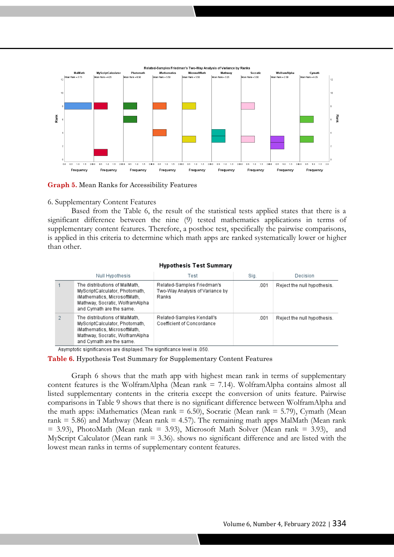

**Graph 5.** Mean Ranks for Accessibility Features

# 6. Supplementary Content Features

Based from the Table 6, the result of the statistical tests applied states that there is a significant difference between the nine (9) tested mathematics applications in terms of supplementary content features. Therefore, a posthoc test, specifically the pairwise comparisons, is applied in this criteria to determine which math apps are ranked systematically lower or higher than other.

### **Hypothesis Test Summary**

| Null Hypothesis |                                                                                                                                                                | Test                                                                   | Sig. | Decision                    |  |
|-----------------|----------------------------------------------------------------------------------------------------------------------------------------------------------------|------------------------------------------------------------------------|------|-----------------------------|--|
|                 | The distributions of MalMath.<br>MyScriptCalculator, Photomath,<br>iMathematics, MicrosoftMath,<br>Mathway, Socratic, WolframAlpha<br>and Cymath are the same. | Related-Samples Friedman's<br>Two-Way Analysis of Variance by<br>Ranks | .001 | Reject the null hypothesis. |  |
|                 | The distributions of MalMath.<br>MyScriptCalculator, Photomath,<br>iMathematics, MicrosoftMath,<br>Mathway, Socratic, WolframAlpha<br>and Cymath are the same. | Related-Samples Kendall's<br>Coefficient of Concordance                | .001 | Reject the null hypothesis. |  |

Asymptotic significances are displayed. The significance level is .050.

## **Table 6.** Hypothesis Test Summary for Supplementary Content Features

Graph 6 shows that the math app with highest mean rank in terms of supplementary content features is the WolframAlpha (Mean rank = 7.14). WolframAlpha contains almost all listed supplementary contents in the criteria except the conversion of units feature. Pairwise comparisons in Table 9 shows that there is no significant difference between WolframAlpha and the math apps: iMathematics (Mean rank  $= 6.50$ ), Socratic (Mean rank  $= 5.79$ ), Cymath (Mean rank = 5.86) and Mathway (Mean rank = 4.57). The remaining math apps MalMath (Mean rank  $= 3.93$ ), PhotoMath (Mean rank  $= 3.93$ ), Microsoft Math Solver (Mean rank  $= 3.93$ ), and MyScript Calculator (Mean rank  $= 3.36$ ). shows no significant difference and are listed with the lowest mean ranks in terms of supplementary content features.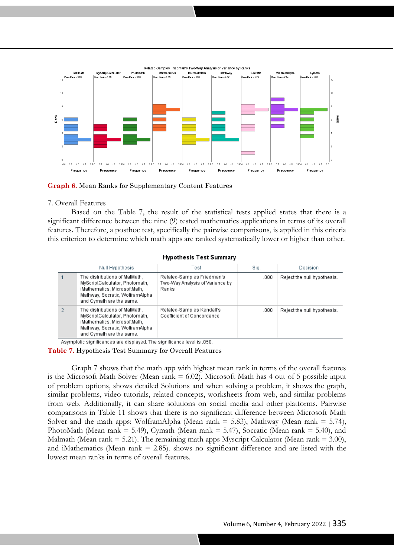

**Graph 6.** Mean Ranks for Supplementary Content Features

### 7. Overall Features

Based on the Table 7, the result of the statistical tests applied states that there is a significant difference between the nine (9) tested mathematics applications in terms of its overall features. Therefore, a posthoc test, specifically the pairwise comparisons, is applied in this criteria this criterion to determine which math apps are ranked systematically lower or higher than other.

#### **Hypothesis Test Summary**

| Null Hypothesis                                                                                                                                                | Test                                                                   | Siq. | Decision                    |
|----------------------------------------------------------------------------------------------------------------------------------------------------------------|------------------------------------------------------------------------|------|-----------------------------|
| The distributions of MalMath.<br>MyScriptCalculator, Photomath,<br>iMathematics, MicrosoftMath,<br>Mathway, Socratic, WolframAlpha<br>and Cymath are the same. | Related-Samples Friedman's<br>Two-Way Analysis of Variance by<br>Ranks | .000 | Reject the null hypothesis. |
| The distributions of MalMath.<br>MyScriptCalculator, Photomath,<br>iMathematics, MicrosoftMath,<br>Mathway, Socratic, WolframAlpha<br>and Cymath are the same. | Related-Samples Kendall's<br>Coefficient of Concordance                | .000 | Reject the null hypothesis. |

Asymptotic significances are displayed. The significance level is .050.

**Table 7.** Hypothesis Test Summary for Overall Features

Graph 7 shows that the math app with highest mean rank in terms of the overall features is the Microsoft Math Solver (Mean rank  $= 6.02$ ). Microsoft Math has 4 out of 5 possible input of problem options, shows detailed Solutions and when solving a problem, it shows the graph, similar problems, video tutorials, related concepts, worksheets from web, and similar problems from web. Additionally, it can share solutions on social media and other platforms. Pairwise comparisons in Table 11 shows that there is no significant difference between Microsoft Math Solver and the math apps: WolframAlpha (Mean rank  $=$  5.83), Mathway (Mean rank  $=$  5.74), PhotoMath (Mean rank = 5.49), Cymath (Mean rank = 5.47), Socratic (Mean rank = 5.40), and Malmath (Mean rank  $= 5.21$ ). The remaining math apps Myscript Calculator (Mean rank  $= 3.00$ ), and iMathematics (Mean rank  $= 2.85$ ). shows no significant difference and are listed with the lowest mean ranks in terms of overall features.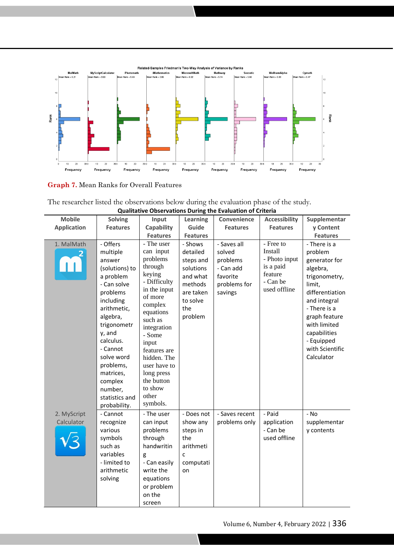

**Graph 7.** Mean Ranks for Overall Features

|                                                                                        | <b>Qualitative Observations During the Evaluation of Criteria</b> |  |
|----------------------------------------------------------------------------------------|-------------------------------------------------------------------|--|
| The researcher listed the observations below during the evaluation phase of the study. |                                                                   |  |

| <b>Mobile</b>      | <b>Solving</b>                                                                                                                                                                                                                                                     | Input                                                                                                                                                                                                                                                                               | Learning                                                                                                        | Convenience                                                                           | <b>Accessibility</b>                                                                      | Supplementar                                                                                                                                                                                                                       |
|--------------------|--------------------------------------------------------------------------------------------------------------------------------------------------------------------------------------------------------------------------------------------------------------------|-------------------------------------------------------------------------------------------------------------------------------------------------------------------------------------------------------------------------------------------------------------------------------------|-----------------------------------------------------------------------------------------------------------------|---------------------------------------------------------------------------------------|-------------------------------------------------------------------------------------------|------------------------------------------------------------------------------------------------------------------------------------------------------------------------------------------------------------------------------------|
| <b>Application</b> | <b>Features</b>                                                                                                                                                                                                                                                    | Capability                                                                                                                                                                                                                                                                          | Guide                                                                                                           | <b>Features</b>                                                                       | <b>Features</b>                                                                           | y Content                                                                                                                                                                                                                          |
|                    |                                                                                                                                                                                                                                                                    | <b>Features</b>                                                                                                                                                                                                                                                                     | <b>Features</b>                                                                                                 |                                                                                       |                                                                                           | <b>Features</b>                                                                                                                                                                                                                    |
| 1. MalMath         | - Offers<br>multiple<br>answer<br>(solutions) to<br>a problem<br>- Can solve<br>problems<br>including<br>arithmetic,<br>algebra,<br>trigonometr<br>y, and<br>calculus.<br>- Cannot<br>solve word<br>problems,<br>matrices,<br>complex<br>number,<br>statistics and | - The user<br>can input<br>problems<br>through<br>keying<br>- Difficulty<br>in the input<br>of more<br>complex<br>equations<br>such as<br>integration<br>- Some<br>input<br>features are<br>hidden. The<br>user have to<br>long press<br>the button<br>to show<br>other<br>symbols. | - Shows<br>detailed<br>steps and<br>solutions<br>and what<br>methods<br>are taken<br>to solve<br>the<br>problem | - Saves all<br>solved<br>problems<br>- Can add<br>favorite<br>problems for<br>savings | - Free to<br>Install<br>- Photo input<br>is a paid<br>feature<br>- Can be<br>used offline | - There is a<br>problem<br>generator for<br>algebra,<br>trigonometry,<br>limit,<br>differentiation<br>and integral<br>- There is a<br>graph feature<br>with limited<br>capabilities<br>- Equipped<br>with Scientific<br>Calculator |
| 2. MyScript        | probability.<br>- Cannot                                                                                                                                                                                                                                           | - The user                                                                                                                                                                                                                                                                          | - Does not                                                                                                      | - Saves recent                                                                        | - Paid                                                                                    | - No                                                                                                                                                                                                                               |
| Calculator         | recognize                                                                                                                                                                                                                                                          | can input                                                                                                                                                                                                                                                                           | show any                                                                                                        | problems only                                                                         | application                                                                               | supplementar                                                                                                                                                                                                                       |
|                    | various                                                                                                                                                                                                                                                            | problems                                                                                                                                                                                                                                                                            | steps in                                                                                                        |                                                                                       | - Can be                                                                                  | y contents                                                                                                                                                                                                                         |
|                    | symbols                                                                                                                                                                                                                                                            | through                                                                                                                                                                                                                                                                             | the                                                                                                             |                                                                                       | used offline                                                                              |                                                                                                                                                                                                                                    |
|                    | such as                                                                                                                                                                                                                                                            | handwritin                                                                                                                                                                                                                                                                          | arithmeti                                                                                                       |                                                                                       |                                                                                           |                                                                                                                                                                                                                                    |
|                    | variables                                                                                                                                                                                                                                                          | g                                                                                                                                                                                                                                                                                   | C                                                                                                               |                                                                                       |                                                                                           |                                                                                                                                                                                                                                    |
|                    | - limited to                                                                                                                                                                                                                                                       | - Can easily                                                                                                                                                                                                                                                                        | computati                                                                                                       |                                                                                       |                                                                                           |                                                                                                                                                                                                                                    |
|                    | arithmetic                                                                                                                                                                                                                                                         | write the                                                                                                                                                                                                                                                                           | on                                                                                                              |                                                                                       |                                                                                           |                                                                                                                                                                                                                                    |
|                    | solving                                                                                                                                                                                                                                                            | equations                                                                                                                                                                                                                                                                           |                                                                                                                 |                                                                                       |                                                                                           |                                                                                                                                                                                                                                    |
|                    |                                                                                                                                                                                                                                                                    | or problem                                                                                                                                                                                                                                                                          |                                                                                                                 |                                                                                       |                                                                                           |                                                                                                                                                                                                                                    |
|                    |                                                                                                                                                                                                                                                                    | on the                                                                                                                                                                                                                                                                              |                                                                                                                 |                                                                                       |                                                                                           |                                                                                                                                                                                                                                    |
|                    |                                                                                                                                                                                                                                                                    | screen                                                                                                                                                                                                                                                                              |                                                                                                                 |                                                                                       |                                                                                           |                                                                                                                                                                                                                                    |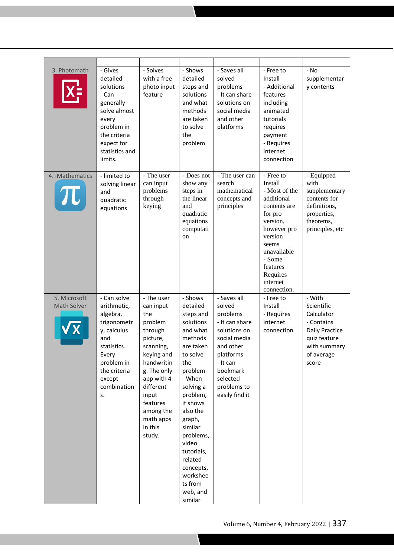| 3. Photomath                | - Gives<br>detailed<br>solutions<br>- Can<br>generally<br>solve almost<br>every<br>problem in<br>the criteria<br>expect for<br>statistics and<br>limits.         | - Solves<br>with a free<br>photo input<br>feature                                                                                                                                                                       | - Shows<br>detailed<br>steps and<br>solutions<br>and what<br>methods<br>are taken<br>to solve<br>the<br>problem                                                                                                                                                                                           | - Saves all<br>solved<br>problems<br>- It can share<br>solutions on<br>social media<br>and other<br>platforms                                                                      | - Free to<br>Install<br>- Additional<br>features<br>including<br>animated<br>tutorials<br>requires<br>payment<br>- Requires<br>internet<br>connection                                                     | - No<br>supplementar<br>y contents                                                                                               |
|-----------------------------|------------------------------------------------------------------------------------------------------------------------------------------------------------------|-------------------------------------------------------------------------------------------------------------------------------------------------------------------------------------------------------------------------|-----------------------------------------------------------------------------------------------------------------------------------------------------------------------------------------------------------------------------------------------------------------------------------------------------------|------------------------------------------------------------------------------------------------------------------------------------------------------------------------------------|-----------------------------------------------------------------------------------------------------------------------------------------------------------------------------------------------------------|----------------------------------------------------------------------------------------------------------------------------------|
| 4. iMathematics<br>TU       | - limited to<br>solving linear<br>and<br>quadratic<br>equations                                                                                                  | - The user<br>can input<br>problems<br>through<br>keying                                                                                                                                                                | - Does not<br>show any<br>steps in<br>the linear<br>and<br>quadratic<br>equations<br>computati<br>on                                                                                                                                                                                                      | - The user can<br>search<br>mathematical<br>concepts and<br>principles                                                                                                             | - Free to<br>Install<br>- Most of the<br>additional<br>contents are<br>for pro<br>version,<br>however pro<br>version<br>seems<br>unavailable<br>- Some<br>features<br>Requires<br>internet<br>connection. | - Equipped<br>with<br>supplementary<br>contents for<br>definitions,<br>properties,<br>theorems,<br>principles, etc               |
| 5. Microsoft<br>Math Solver | - Can solve<br>arithmetic,<br>algebra,<br>trigonometr<br>y, calculus<br>and<br>statistics.<br>Every<br>problem in<br>the criteria<br>except<br>combination<br>s. | - The user<br>can input<br>the<br>problem<br>through<br>picture,<br>scanning,<br>keying and<br>handwritin<br>g. The only<br>app with 4<br>different<br>input<br>features<br>among the<br>math apps<br>in this<br>study. | - Shows<br>detailed<br>steps and<br>solutions<br>and what<br>methods<br>are taken<br>to solve<br>the<br>problem<br>- When<br>solving a<br>problem,<br>it shows<br>also the<br>graph,<br>similar<br>problems,<br>video<br>tutorials,<br>related<br>concepts,<br>workshee<br>ts from<br>web, and<br>similar | - Saves all<br>solved<br>problems<br>- It can share<br>solutions on<br>social media<br>and other<br>platforms<br>- It can<br>bookmark<br>selected<br>problems to<br>easily find it | - Free to<br>Install<br>- Requires<br>internet<br>connection                                                                                                                                              | - With<br>Scientific<br>Calculator<br>- Contains<br><b>Daily Practice</b><br>quiz feature<br>with summary<br>of average<br>score |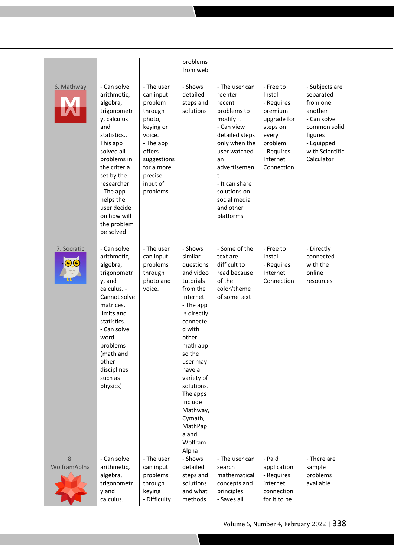|                    |                                                                                                                                                                                                                                                                    |                                                                                                                                                                       | problems<br>from web                                                                                                                                                                                                                                                                                       |                                                                                                                                                                                                                                         |                                                                                                                                      |                                                                                                                                             |
|--------------------|--------------------------------------------------------------------------------------------------------------------------------------------------------------------------------------------------------------------------------------------------------------------|-----------------------------------------------------------------------------------------------------------------------------------------------------------------------|------------------------------------------------------------------------------------------------------------------------------------------------------------------------------------------------------------------------------------------------------------------------------------------------------------|-----------------------------------------------------------------------------------------------------------------------------------------------------------------------------------------------------------------------------------------|--------------------------------------------------------------------------------------------------------------------------------------|---------------------------------------------------------------------------------------------------------------------------------------------|
| 6. Mathway         | - Can solve<br>arithmetic,<br>algebra,<br>trigonometr<br>y, calculus<br>and<br>statistics<br>This app<br>solved all<br>problems in<br>the criteria<br>set by the<br>researcher<br>- The app<br>helps the<br>user decide<br>on how will<br>the problem<br>be solved | - The user<br>can input<br>problem<br>through<br>photo,<br>keying or<br>voice.<br>- The app<br>offers<br>suggestions<br>for a more<br>precise<br>input of<br>problems | - Shows<br>detailed<br>steps and<br>solutions                                                                                                                                                                                                                                                              | - The user can<br>reenter<br>recent<br>problems to<br>modify it<br>- Can view<br>detailed steps<br>only when the<br>user watched<br>an<br>advertisemen<br>t<br>- It can share<br>solutions on<br>social media<br>and other<br>platforms | - Free to<br>Install<br>- Requires<br>premium<br>upgrade for<br>steps on<br>every<br>problem<br>- Requires<br>Internet<br>Connection | - Subjects are<br>separated<br>from one<br>another<br>- Can solve<br>common solid<br>figures<br>- Equipped<br>with Scientific<br>Calculator |
| 7. Socratic        | - Can solve<br>arithmetic,<br>algebra,<br>trigonometr<br>y, and<br>calculus. -<br>Cannot solve<br>matrices,<br>limits and<br>statistics.<br>- Can solve<br>word<br>problems<br>(math and<br>other<br>disciplines<br>such as<br>physics)                            | - The user<br>can input<br>problems<br>through<br>photo and<br>voice.                                                                                                 | - Shows<br>similar<br>questions<br>and video<br>tutorials<br>from the<br>internet<br>- The app<br>is directly<br>connecte<br>d with<br>other<br>math app<br>so the<br>user may<br>have a<br>variety of<br>solutions.<br>The apps<br>include<br>Mathway,<br>Cymath,<br>MathPap<br>a and<br>Wolfram<br>Alpha | - Some of the<br>text are<br>difficult to<br>read because<br>of the<br>color/theme<br>of some text                                                                                                                                      | - Free to<br>Install<br>- Requires<br>Internet<br>Connection                                                                         | - Directly<br>connected<br>with the<br>online<br>resources                                                                                  |
| 8.<br>WolframAplha | - Can solve<br>arithmetic,<br>algebra,<br>trigonometr<br>y and<br>calculus.                                                                                                                                                                                        | - The user<br>can input<br>problems<br>through<br>keying<br>- Difficulty                                                                                              | - Shows<br>detailed<br>steps and<br>solutions<br>and what<br>methods                                                                                                                                                                                                                                       | - The user can<br>search<br>mathematical<br>concepts and<br>principles<br>- Saves all                                                                                                                                                   | - Paid<br>application<br>- Requires<br>internet<br>connection<br>for it to be                                                        | - There are<br>sample<br>problems<br>available                                                                                              |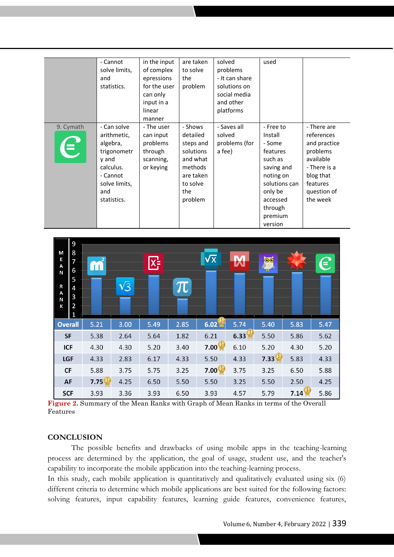|             | - Cannot      | in the input | are taken | solved         | used          |              |
|-------------|---------------|--------------|-----------|----------------|---------------|--------------|
|             | solve limits, | of complex   | to solve  | problems       |               |              |
|             | and           | epressions   | the       | - It can share |               |              |
|             | statistics.   | for the user | problem   | solutions on   |               |              |
|             |               | can only     |           | social media   |               |              |
|             |               | input in a   |           | and other      |               |              |
|             |               | linear       |           | platforms      |               |              |
|             |               | manner       |           |                |               |              |
| 9. Cymath   | - Can solve   | - The user   | - Shows   | - Saves all    | - Free to     | - There are  |
|             | arithmetic,   | can input    | detailed  | solved         | Install       | references   |
|             | algebra,      | problems     | steps and | problems (for  | - Some        | and practice |
| $\bigoplus$ | trigonometr   | through      | solutions | a fee)         | features      | problems     |
|             | y and         | scanning,    | and what  |                | such as       | available    |
|             | calculus.     | or keying    | methods   |                | saving and    | - There is a |
|             | - Cannot      |              | are taken |                | noting on     | blog that    |
|             | solve limits, |              | to solve  |                | solutions can | features     |
|             | and           |              | the       |                | only be       | question of  |
|             | statistics.   |              | problem   |                | accessed      | the week     |
|             |               |              |           |                | through       |              |
|             |               |              |           |                | premium       |              |
|             |               |              |           |                | version       |              |



**Figure 2.** Summary of the Mean Ranks with Graph of Mean Ranks in terms of the Overall Features

# **CONCLUSION**

The possible benefits and drawbacks of using mobile apps in the teaching-learning process are determined by the application, the goal of usage, student use, and the teacher's capability to incorporate the mobile application into the teaching-learning process.

In this study, each mobile application is quantitatively and qualitatively evaluated using six (6) different criteria to determine which mobile applications are best suited for the following factors: solving features, input capability features, learning guide features, convenience features,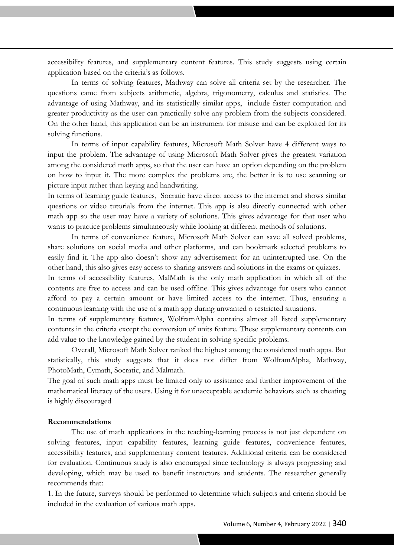accessibility features, and supplementary content features. This study suggests using certain application based on the criteria's as follows.

zzzzzz

In terms of solving features, Mathway can solve all criteria set by the researcher. The questions came from subjects arithmetic, algebra, trigonometry, calculus and statistics. The advantage of using Mathway, and its statistically similar apps, include faster computation and greater productivity as the user can practically solve any problem from the subjects considered. On the other hand, this application can be an instrument for misuse and can be exploited for its solving functions.

In terms of input capability features, Microsoft Math Solver have 4 different ways to input the problem. The advantage of using Microsoft Math Solver gives the greatest variation among the considered math apps, so that the user can have an option depending on the problem on how to input it. The more complex the problems are, the better it is to use scanning or picture input rather than keying and handwriting.

In terms of learning guide features, Socratic have direct access to the internet and shows similar questions or video tutorials from the internet. This app is also directly connected with other math app so the user may have a variety of solutions. This gives advantage for that user who wants to practice problems simultaneously while looking at different methods of solutions.

In terms of convenience feature, Microsoft Math Solver can save all solved problems, share solutions on social media and other platforms, and can bookmark selected problems to easily find it. The app also doesn't show any advertisement for an uninterrupted use. On the other hand, this also gives easy access to sharing answers and solutions in the exams or quizzes.

In terms of accessibility features, MalMath is the only math application in which all of the contents are free to access and can be used offline. This gives advantage for users who cannot afford to pay a certain amount or have limited access to the internet. Thus, ensuring a continuous learning with the use of a math app during unwanted o restricted situations.

In terms of supplementary features, WolframAlpha contains almost all listed supplementary contents in the criteria except the conversion of units feature. These supplementary contents can add value to the knowledge gained by the student in solving specific problems.

Overall, Microsoft Math Solver ranked the highest among the considered math apps. But statistically, this study suggests that it does not differ from WolframAlpha, Mathway, PhotoMath, Cymath, Socratic, and Malmath.

The goal of such math apps must be limited only to assistance and further improvement of the mathematical literacy of the users. Using it for unacceptable academic behaviors such as cheating is highly discouraged

## **Recommendations**

The use of math applications in the teaching-learning process is not just dependent on solving features, input capability features, learning guide features, convenience features, accessibility features, and supplementary content features. Additional criteria can be considered for evaluation. Continuous study is also encouraged since technology is always progressing and developing, which may be used to benefit instructors and students. The researcher generally recommends that:

1. In the future, surveys should be performed to determine which subjects and criteria should be included in the evaluation of various math apps.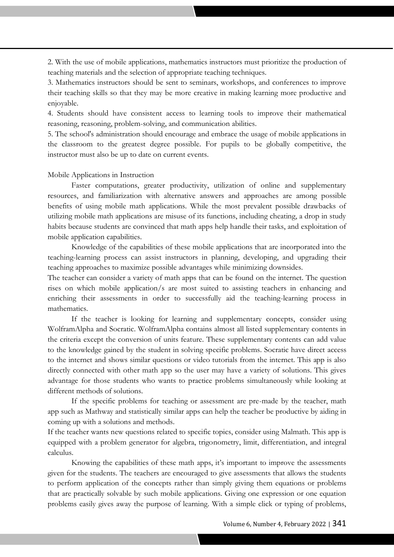2. With the use of mobile applications, mathematics instructors must prioritize the production of teaching materials and the selection of appropriate teaching techniques.

zzzzzz

3. Mathematics instructors should be sent to seminars, workshops, and conferences to improve their teaching skills so that they may be more creative in making learning more productive and enjoyable.

4. Students should have consistent access to learning tools to improve their mathematical reasoning, reasoning, problem-solving, and communication abilities.

5. The school's administration should encourage and embrace the usage of mobile applications in the classroom to the greatest degree possible. For pupils to be globally competitive, the instructor must also be up to date on current events.

## Mobile Applications in Instruction

Faster computations, greater productivity, utilization of online and supplementary resources, and familiarization with alternative answers and approaches are among possible benefits of using mobile math applications. While the most prevalent possible drawbacks of utilizing mobile math applications are misuse of its functions, including cheating, a drop in study habits because students are convinced that math apps help handle their tasks, and exploitation of mobile application capabilities.

Knowledge of the capabilities of these mobile applications that are incorporated into the teaching-learning process can assist instructors in planning, developing, and upgrading their teaching approaches to maximize possible advantages while minimizing downsides.

The teacher can consider a variety of math apps that can be found on the internet. The question rises on which mobile application/s are most suited to assisting teachers in enhancing and enriching their assessments in order to successfully aid the teaching-learning process in mathematics.

If the teacher is looking for learning and supplementary concepts, consider using WolframAlpha and Socratic. WolframAlpha contains almost all listed supplementary contents in the criteria except the conversion of units feature. These supplementary contents can add value to the knowledge gained by the student in solving specific problems. Socratic have direct access to the internet and shows similar questions or video tutorials from the internet. This app is also directly connected with other math app so the user may have a variety of solutions. This gives advantage for those students who wants to practice problems simultaneously while looking at different methods of solutions.

If the specific problems for teaching or assessment are pre-made by the teacher, math app such as Mathway and statistically similar apps can help the teacher be productive by aiding in coming up with a solutions and methods.

If the teacher wants new questions related to specific topics, consider using Malmath. This app is equipped with a problem generator for algebra, trigonometry, limit, differentiation, and integral calculus.

Knowing the capabilities of these math apps, it's important to improve the assessments given for the students. The teachers are encouraged to give assessments that allows the students to perform application of the concepts rather than simply giving them equations or problems that are practically solvable by such mobile applications. Giving one expression or one equation problems easily gives away the purpose of learning. With a simple click or typing of problems,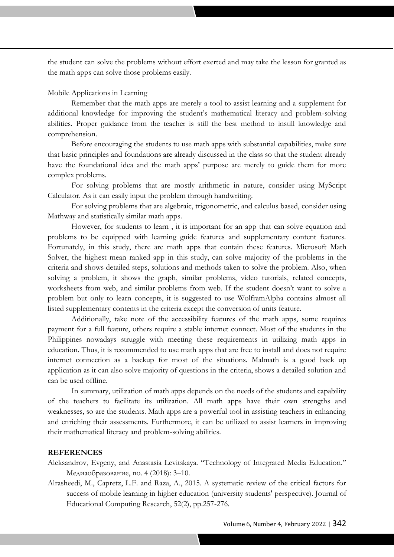the student can solve the problems without effort exerted and may take the lesson for granted as the math apps can solve those problems easily.

zzzzzz

# Mobile Applications in Learning

Remember that the math apps are merely a tool to assist learning and a supplement for additional knowledge for improving the student's mathematical literacy and problem-solving abilities. Proper guidance from the teacher is still the best method to instill knowledge and comprehension.

Before encouraging the students to use math apps with substantial capabilities, make sure that basic principles and foundations are already discussed in the class so that the student already have the foundational idea and the math apps' purpose are merely to guide them for more complex problems.

For solving problems that are mostly arithmetic in nature, consider using MyScript Calculator. As it can easily input the problem through handwriting.

For solving problems that are algebraic, trigonometric, and calculus based, consider using Mathway and statistically similar math apps.

However, for students to learn , it is important for an app that can solve equation and problems to be equipped with learning guide features and supplementary content features. Fortunately, in this study, there are math apps that contain these features. Microsoft Math Solver, the highest mean ranked app in this study, can solve majority of the problems in the criteria and shows detailed steps, solutions and methods taken to solve the problem. Also, when solving a problem, it shows the graph, similar problems, video tutorials, related concepts, worksheets from web, and similar problems from web. If the student doesn't want to solve a problem but only to learn concepts, it is suggested to use WolframAlpha contains almost all listed supplementary contents in the criteria except the conversion of units feature.

Additionally, take note of the accessibility features of the math apps, some requires payment for a full feature, others require a stable internet connect. Most of the students in the Philippines nowadays struggle with meeting these requirements in utilizing math apps in education. Thus, it is recommended to use math apps that are free to install and does not require internet connection as a backup for most of the situations. Malmath is a good back up application as it can also solve majority of questions in the criteria, shows a detailed solution and can be used offline.

In summary, utilization of math apps depends on the needs of the students and capability of the teachers to facilitate its utilization. All math apps have their own strengths and weaknesses, so are the students. Math apps are a powerful tool in assisting teachers in enhancing and enriching their assessments. Furthermore, it can be utilized to assist learners in improving their mathematical literacy and problem-solving abilities.

# **REFERENCES**

Aleksandrov, Evgeny, and Anastasia Levitskaya. "Technology of Integrated Media Education." Медиаобразование, no. 4 (2018): 3–10.

Alrasheedi, M., Capretz, L.F. and Raza, A., 2015. A systematic review of the critical factors for success of mobile learning in higher education (university students' perspective). Journal of Educational Computing Research, 52(2), pp.257-276.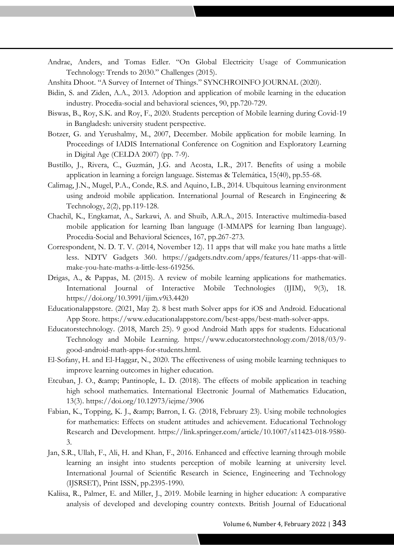Andrae, Anders, and Tomas Edler. "On Global Electricity Usage of Communication Technology: Trends to 2030." Challenges (2015).

zzzzzz

Anshita Dhoot. "A Survey of Internet of Things." SYNCHROINFO JOURNAL (2020).

- Bidin, S. and Ziden, A.A., 2013. Adoption and application of mobile learning in the education industry. Procedia-social and behavioral sciences, 90, pp.720-729.
- Biswas, B., Roy, S.K. and Roy, F., 2020. Students perception of Mobile learning during Covid-19 in Bangladesh: university student perspective.
- Botzer, G. and Yerushalmy, M., 2007, December. Mobile application for mobile learning. In Proceedings of IADIS International Conference on Cognition and Exploratory Learning in Digital Age (CELDA 2007) (pp. 7-9).
- Bustillo, J., Rivera, C., Guzmán, J.G. and Acosta, L.R., 2017. Benefits of using a mobile application in learning a foreign language. Sistemas & Telemática, 15(40), pp.55-68.
- Calimag, J.N., Mugel, P.A., Conde, R.S. and Aquino, L.B., 2014. Ubquitous learning environment using android mobile application. International Journal of Research in Engineering & Technology, 2(2), pp.119-128.
- Chachil, K., Engkamat, A., Sarkawi, A. and Shuib, A.R.A., 2015. Interactive multimedia-based mobile application for learning Iban language (I-MMAPS for learning Iban language). Procedia-Social and Behavioral Sciences, 167, pp.267-273.
- Correspondent, N. D. T. V. (2014, November 12). 11 apps that will make you hate maths a little less. NDTV Gadgets 360. https://gadgets.ndtv.com/apps/features/11-apps-that-willmake-you-hate-maths-a-little-less-619256.
- Drigas, A., & Pappas, M. (2015). A review of mobile learning applications for mathematics. International Journal of Interactive Mobile Technologies (IJIM), 9(3), 18. https://doi.org/10.3991/ijim.v9i3.4420
- Educationalappstore. (2021, May 2). 8 best math Solver apps for iOS and Android. Educational App Store. https://www.educationalappstore.com/best-apps/best-math-solver-apps.
- Educatorstechnology. (2018, March 25). 9 good Android Math apps for students. Educational Technology and Mobile Learning. https://www.educatorstechnology.com/2018/03/9 good-android-math-apps-for-students.html.
- El-Sofany, H. and El-Haggar, N., 2020. The effectiveness of using mobile learning techniques to improve learning outcomes in higher education.
- Etcuban, J. O., & amp; Pantinople, L. D. (2018). The effects of mobile application in teaching high school mathematics. International Electronic Journal of Mathematics Education, 13(3). https://doi.org/10.12973/iejme/3906
- Fabian, K., Topping, K. J., & amp; Barron, I. G. (2018, February 23). Using mobile technologies for mathematics: Effects on student attitudes and achievement. Educational Technology Research and Development. https://link.springer.com/article/10.1007/s11423-018-9580- 3.
- Jan, S.R., Ullah, F., Ali, H. and Khan, F., 2016. Enhanced and effective learning through mobile learning an insight into students perception of mobile learning at university level. International Journal of Scientific Research in Science, Engineering and Technology (IJSRSET), Print ISSN, pp.2395-1990.
- Kaliisa, R., Palmer, E. and Miller, J., 2019. Mobile learning in higher education: A comparative analysis of developed and developing country contexts. British Journal of Educational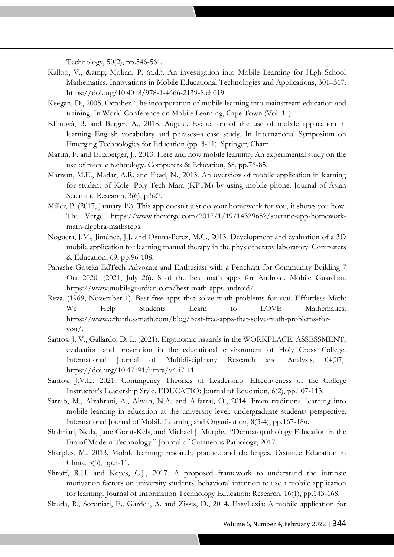Technology, 50(2), pp.546-561.

Kalloo, V., & amp; Mohan, P. (n.d.). An investigation into Mobile Learning for High School Mathematics. Innovations in Mobile Educational Technologies and Applications, 301–317. https://doi.org/10.4018/978-1-4666-2139-8.ch019

zzzzzz

- Keegan, D., 2005, October. The incorporation of mobile learning into mainstream education and training. In World Conference on Mobile Learning, Cape Town (Vol. 11).
- Klímová, B. and Berger, A., 2018, August. Evaluation of the use of mobile application in learning English vocabulary and phrases–a case study. In International Symposium on Emerging Technologies for Education (pp. 3-11). Springer, Cham.
- Martin, F. and Ertzberger, J., 2013. Here and now mobile learning: An experimental study on the use of mobile technology. Computers & Education, 68, pp.76-85.
- Marwan, M.E., Madar, A.R. and Fuad, N., 2013. An overview of mobile application in learning for student of Kolej Poly-Tech Mara (KPTM) by using mobile phone. Journal of Asian Scientific Research, 3(6), p.527.
- Miller, P. (2017, January 19). This app doesn't just do your homework for you, it shows you how. The Verge. https://www.theverge.com/2017/1/19/14329652/socratic-app-homeworkmath-algebra-mathsteps.
- Noguera, J.M., Jiménez, J.J. and Osuna-Pérez, M.C., 2013. Development and evaluation of a 3D mobile application for learning manual therapy in the physiotherapy laboratory. Computers & Education, 69, pp.96-108.
- Panashe Goteka EdTech Advocate and Enthusiast with a Penchant for Community Building 7 Oct 2020. (2021, July 26). 8 of the best math apps for Android. Mobile Guardian. https://www.mobileguardian.com/best-math-apps-android/.
- Reza. (1969, November 1). Best free apps that solve math problems for you. Effortless Math: We Help Students Learn to LOVE Mathematics. https://www.effortlessmath.com/blog/best-free-apps-that-solve-math-problems-foryou/.
- Santos, J. V., Gallardo, D. L. (2021). Ergonomic hazards in the WORKPLACE: ASSESSMENT, evaluation and prevention in the educational environment of Holy Cross College. International Journal of Multidisciplinary Research and Analysis, 04(07). https://doi.org/10.47191/ijmra/v4-i7-11
- Santos, J.V.L., 2021. Contingency Theories of Leadership: Effectiveness of the College Instructor's Leadership Style. EDUCATIO: Journal of Education, 6(2), pp.107-113.
- Sarrab, M., Alzahrani, A., Alwan, N.A. and Alfarraj, O., 2014. From traditional learning into mobile learning in education at the university level: undergraduate students perspective. International Journal of Mobile Learning and Organisation, 8(3-4), pp.167-186.
- Shahriari, Neda, Jane Grant-Kels, and Michael J. Murphy. "Dermatopathology Education in the Era of Modern Technology." Journal of Cutaneous Pathology, 2017.
- Sharples, M., 2013. Mobile learning: research, practice and challenges. Distance Education in China, 3(5), pp.5-11.
- Shroff, R.H. and Keyes, C.J., 2017. A proposed framework to understand the intrinsic motivation factors on university students' behavioral intention to use a mobile application for learning. Journal of Information Technology Education: Research, 16(1), pp.143-168.

Skiada, R., Soroniati, E., Gardeli, A. and Zissis, D., 2014. EasyLexia: A mobile application for